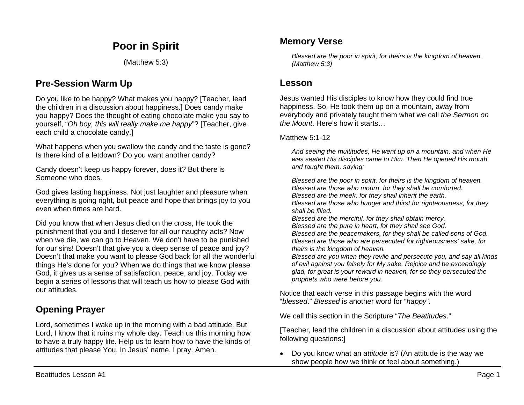# **Poor in Spirit**

(Matthew 5:3)

### **Pre-Session Warm Up**

Do you like to be happy? What makes you happy? [Teacher, lead the children in a discussion about happiness.] Does candy make you happy? Does the thought of eating chocolate make you say to yourself, "*Oh boy, this will really make me happy*"? [Teacher, give each child a chocolate candy.]

What happens when you swallow the candy and the taste is gone? Is there kind of a letdown? Do you want another candy?

Candy doesn't keep us happy forever, does it? But there is Someone who does.

God gives lasting happiness. Not just laughter and pleasure when everything is going right, but peace and hope that brings joy to you even when times are hard.

Did you know that when Jesus died on the cross, He took the punishment that you and I deserve for all our naughty acts? Now when we die, we can go to Heaven. We don't have to be punished for our sins! Doesn't that give you a deep sense of peace and joy? Doesn't that make you want to please God back for all the wonderful things He's done for you? When we do things that we know please God, it gives us a sense of satisfaction, peace, and joy. Today we begin a series of lessons that will teach us how to please God with our attitudes.

# **Opening Prayer**

Lord, sometimes I wake up in the morning with a bad attitude. But Lord, I know that it ruins my whole day. Teach us this morning how to have a truly happy life. Help us to learn how to have the kinds of attitudes that please You. In Jesus' name, I pray. Amen.

### **Memory Verse**

*Blessed are the poor in spirit, for theirs is the kingdom of heaven. (Matthew 5:3)*

### **Lesson**

Jesus wanted His disciples to know how they could find true happiness. So, He took them up on a mountain, away from everybody and privately taught them what we call *the Sermon on the Mount*. Here's how it starts…

Matthew 5:1-12

*And seeing the multitudes, He went up on a mountain, and when He was seated His disciples came to Him. Then He opened His mouth and taught them, saying:* 

*Blessed are the poor in spirit, for theirs is the kingdom of heaven. Blessed are those who mourn, for they shall be comforted. Blessed are the meek, for they shall inherit the earth. Blessed are those who hunger and thirst for righteousness, for they shall be filled.* 

*Blessed are the merciful, for they shall obtain mercy. Blessed are the pure in heart, for they shall see God.* 

*Blessed are the peacemakers, for they shall be called sons of God. Blessed are those who are persecuted for righteousness' sake, for theirs is the kingdom of heaven.* 

*Blessed are you when they revile and persecute you, and say all kinds of evil against you falsely for My sake. Rejoice and be exceedingly glad, for great is your reward in heaven, for so they persecuted the prophets who were before you.*

Notice that each verse in this passage begins with the word "*blessed*." *Blessed* is another word for "*happy*".

We call this section in the Scripture "*The Beatitudes*."

[Teacher, lead the children in a discussion about attitudes using the following questions:]

• Do you know what an *attitude* is? (An attitude is the way we show people how we think or feel about something.)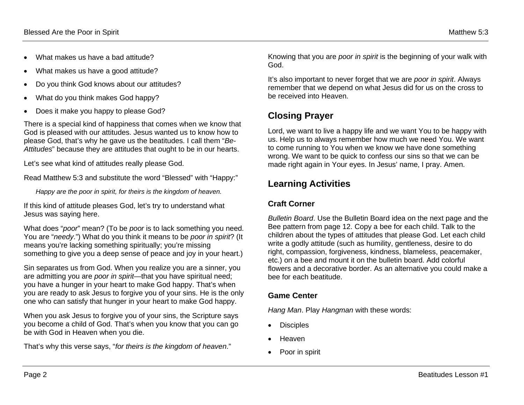- What makes us have a bad attitude?
- What makes us have a good attitude?
- Do you think God knows about our attitudes?
- What do you think makes God happy?
- Does it make you happy to please God?

There is a special kind of happiness that comes when we know that God is pleased with our attitudes. Jesus wanted us to know how to please God, that's why he gave us the beatitudes. I call them "*Be-Attitudes*" because they are attitudes that ought to be in our hearts.

Let's see what kind of attitudes really please God.

Read Matthew 5:3 and substitute the word "Blessed" with "Happy:"

*Happy are the poor in spirit, for theirs is the kingdom of heaven.*

If this kind of attitude pleases God, let's try to understand what Jesus was saying here.

What does "*poor*" mean? (To be *poor* is to lack something you need. You are "*needy*.") What do you think it means to be *poor in spirit*? (It means you're lacking something spiritually; you're missing something to give you a deep sense of peace and joy in your heart.)

Sin separates us from God. When you realize you are a sinner, you are admitting you are *poor in spirit*—that you have spiritual need; you have a hunger in your heart to make God happy. That's when you are ready to ask Jesus to forgive you of your sins. He is the only one who can satisfy that hunger in your heart to make God happy.

When you ask Jesus to forgive you of your sins, the Scripture says you become a child of God. That's when you know that you can go be with God in Heaven when you die.

That's why this verse says, "*for theirs is the kingdom of heaven*."

Knowing that you are *poor in spirit* is the beginning of your walk with God.

It's also important to never forget that we are *poor in spirit*. Always remember that we depend on what Jesus did for us on the cross to be received into Heaven.

# **Closing Prayer**

Lord, we want to live a happy life and we want You to be happy with us. Help us to always remember how much we need You. We want to come running to You when we know we have done something wrong. We want to be quick to confess our sins so that we can be made right again in Your eyes. In Jesus' name, I pray. Amen.

### **Learning Activities**

### **Craft Corner**

*Bulletin Board*. Use the Bulletin Board idea on the next page and the Bee pattern from page 12. Copy a bee for each child. Talk to the children about the types of attitudes that please God. Let each child write a godly attitude (such as humility, gentleness, desire to do right, compassion, forgiveness, kindness, blameless, peacemaker, etc.) on a bee and mount it on the bulletin board. Add colorful flowers and a decorative border. As an alternative you could make a bee for each beatitude.

### **Game Center**

*Hang Man*. Play *Hangman* with these words:

- **Disciples**
- Heaven
- Poor in spirit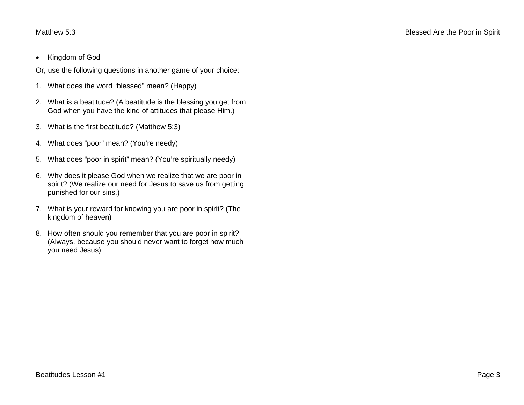• Kingdom of God

Or, use the following questions in another game of your choice:

- 1. What does the word "blessed" mean? (Happy)
- 2. What is a beatitude? (A beatitude is the blessing you get from God when you have the kind of attitudes that please Him.)
- 3. What is the first beatitude? (Matthew 5:3)
- 4. What does "poor" mean? (You're needy)
- 5. What does "poor in spirit" mean? (You're spiritually needy)
- 6. Why does it please God when we realize that we are poor in spirit? (We realize our need for Jesus to save us from getting punished for our sins.)
- 7. What is your reward for knowing you are poor in spirit? (The kingdom of heaven)
- 8. How often should you remember that you are poor in spirit? (Always, because you should never want to forget how much you need Jesus)